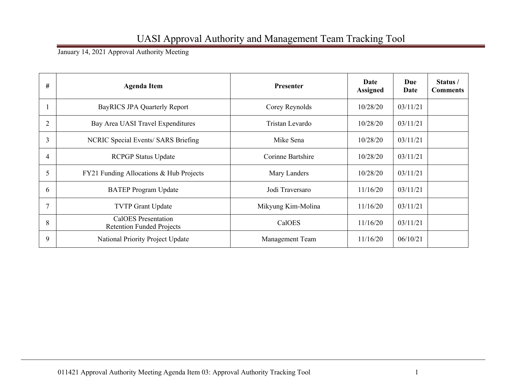## UASI Approval Authority and Management Team Tracking Tool

January 14, 2021 Approval Authority Meeting

| #              | <b>Agenda Item</b>                                             | <b>Presenter</b>       | Date<br><b>Assigned</b> | Due<br>Date | Status /<br><b>Comments</b> |
|----------------|----------------------------------------------------------------|------------------------|-------------------------|-------------|-----------------------------|
|                | <b>BayRICS JPA Quarterly Report</b>                            | Corey Reynolds         | 10/28/20                | 03/11/21    |                             |
| $\overline{2}$ | Bay Area UASI Travel Expenditures                              | Tristan Levardo        | 10/28/20                | 03/11/21    |                             |
| 3              | NCRIC Special Events/ SARS Briefing                            | Mike Sena              | 10/28/20                | 03/11/21    |                             |
| 4              | <b>RCPGP Status Update</b>                                     | Corinne Bartshire      | 10/28/20                | 03/11/21    |                             |
| 5              | FY21 Funding Allocations & Hub Projects                        | Mary Landers           | 10/28/20                | 03/11/21    |                             |
| 6              | <b>BATEP Program Update</b>                                    | Jodi Traversaro        | 11/16/20                | 03/11/21    |                             |
| $\tau$         | <b>TVTP Grant Update</b>                                       | Mikyung Kim-Molina     | 11/16/20                | 03/11/21    |                             |
| 8              | <b>CalOES</b> Presentation<br><b>Retention Funded Projects</b> | CalOES                 | 11/16/20                | 03/11/21    |                             |
| 9              | National Priority Project Update                               | <b>Management Team</b> | 11/16/20                | 06/10/21    |                             |